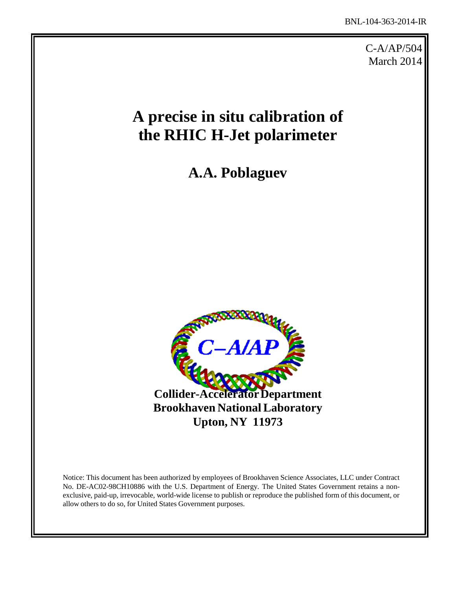C-A/AP/504 March 2014

# **A precise in situ calibration of the RHIC H-Jet polarimeter**

**A.A. Poblaguev**



Notice: This document has been authorized by employees of Brookhaven Science Associates, LLC under Contract No. DE-AC02-98CH10886 with the U.S. Department of Energy. The United States Government retains a nonexclusive, paid-up, irrevocable, world-wide license to publish or reproduce the published form of this document, or allow others to do so, for United States Government purposes.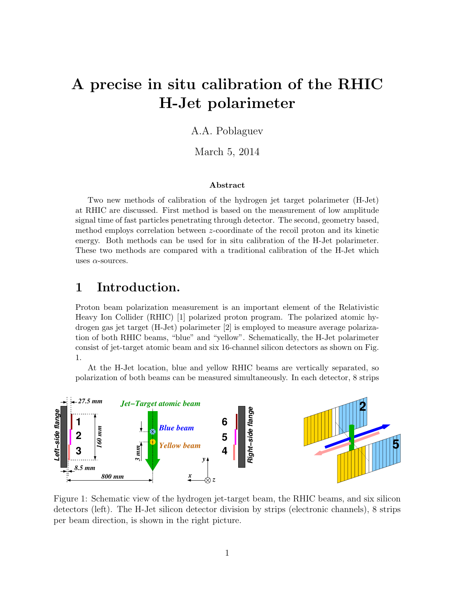# A precise in situ calibration of the RHIC H-Jet polarimeter

#### A.A. Poblaguev

March 5, 2014

#### Abstract

Two new methods of calibration of the hydrogen jet target polarimeter (H-Jet) at RHIC are discussed. First method is based on the measurement of low amplitude signal time of fast particles penetrating through detector. The second, geometry based, method employs correlation between z-coordinate of the recoil proton and its kinetic energy. Both methods can be used for in situ calibration of the H-Jet polarimeter. These two methods are compared with a traditional calibration of the H-Jet which uses  $\alpha$ -sources.

### 1 Introduction.

Proton beam polarization measurement is an important element of the Relativistic Heavy Ion Collider (RHIC) [1] polarized proton program. The polarized atomic hydrogen gas jet target (H-Jet) polarimeter [2] is employed to measure average polarization of both RHIC beams, "blue" and "yellow". Schematically, the H-Jet polarimeter consist of jet-target atomic beam and six 16-channel silicon detectors as shown on Fig. 1.

At the H-Jet location, blue and yellow RHIC beams are vertically separated, so polarization of both beams can be measured simultaneously. In each detector, 8 strips



Figure 1: Schematic view of the hydrogen jet-target beam, the RHIC beams, and six silicon detectors (left). The H-Jet silicon detector division by strips (electronic channels), 8 strips per beam direction, is shown in the right picture.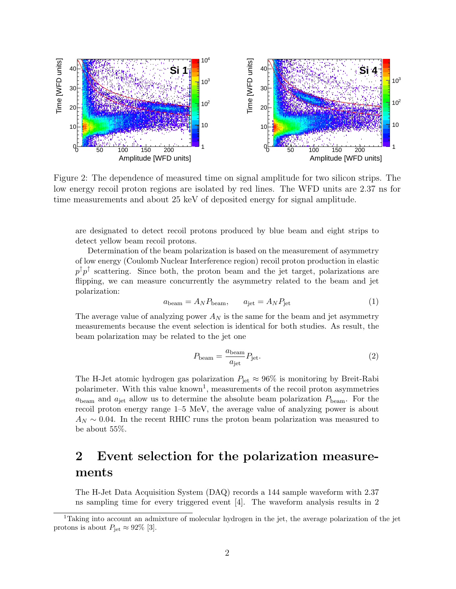

Figure 2: The dependence of measured time on signal amplitude for two silicon strips. The low energy recoil proton regions are isolated by red lines. The WFD units are 2.37 ns for time measurements and about 25 keV of deposited energy for signal amplitude.

are designated to detect recoil protons produced by blue beam and eight strips to detect yellow beam recoil protons.

Determination of the beam polarization is based on the measurement of asymmetry of low energy (Coulomb Nuclear Interference region) recoil proton production in elastic  $p^{\uparrow}p^{\uparrow}$  scattering. Since both, the proton beam and the jet target, polarizations are flipping, we can measure concurrently the asymmetry related to the beam and jet polarization:

$$
a_{\text{beam}} = A_N P_{\text{beam}}, \qquad a_{\text{jet}} = A_N P_{\text{jet}} \tag{1}
$$

The average value of analyzing power  $A_N$  is the same for the beam and jet asymmetry measurements because the event selection is identical for both studies. As result, the beam polarization may be related to the jet one

$$
P_{\text{beam}} = \frac{a_{\text{beam}}}{a_{\text{jet}}} P_{\text{jet}}.\tag{2}
$$

The H-Jet atomic hydrogen gas polarization  $P_{\text{jet}} \approx 96\%$  is monitoring by Breit-Rabi polarimeter. With this value  $\text{known}^1$ , measurements of the recoil proton asymmetries  $a_{\text{beam}}$  and  $a_{\text{jet}}$  allow us to determine the absolute beam polarization  $P_{\text{beam}}$ . For the recoil proton energy range 1–5 MeV, the average value of analyzing power is about  $A_N \sim 0.04$ . In the recent RHIC runs the proton beam polarization was measured to be about 55%.

# 2 Event selection for the polarization measurements

The H-Jet Data Acquisition System (DAQ) records a 144 sample waveform with 2.37 ns sampling time for every triggered event [4]. The waveform analysis results in 2

<sup>&</sup>lt;sup>1</sup>Taking into account an admixture of molecular hydrogen in the jet, the average polarization of the jet protons is about  $P_{\text{jet}} \approx 92\%$  [3].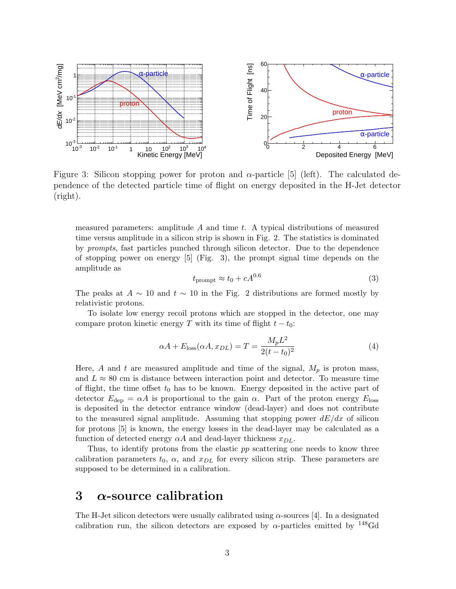

Figure 3: Silicon stopping power for proton and  $\alpha$ -particle [5] (left). The calculated dependence of the detected particle time of flight on energy deposited in the H-Jet detector (right).

measured parameters: amplitude  $A$  and time  $t$ . A typical distributions of measured time versus amplitude in a silicon strip is shown in Fig. 2. The statistics is dominated by prompts, fast particles punched through silicon detector. Due to the dependence of stopping power on energy [5] (Fig. 3), the prompt signal time depends on the amplitude as

$$
t_{\rm prompt} \approx t_0 + cA^{0.6} \tag{3}
$$

The peaks at  $A \sim 10$  and  $t \sim 10$  in the Fig. 2 distributions are formed mostly by relativistic protons.

To isolate low energy recoil protons which are stopped in the detector, one may compare proton kinetic energy T with its time of flight  $t - t_0$ :

$$
\alpha A + E_{\text{loss}}(\alpha A, x_{DL}) = T = \frac{M_p L^2}{2(t - t_0)^2}
$$
 (4)

Here, A and t are measured amplitude and time of the signal,  $M_p$  is proton mass, and  $L \approx 80$  cm is distance between interaction point and detector. To measure time of flight, the time offset  $t_0$  has to be known. Energy deposited in the active part of detector  $E_{\text{dep}} = \alpha A$  is proportional to the gain  $\alpha$ . Part of the proton energy  $E_{\text{loss}}$ is deposited in the detector entrance window (dead-layer) and does not contribute to the measured signal amplitude. Assuming that stopping power  $dE/dx$  of silicon for protons [5] is known, the energy losses in the dead-layer may be calculated as a function of detected energy  $\alpha A$  and dead-layer thickness  $x_{DL}$ .

Thus, to identify protons from the elastic pp scattering one needs to know three calibration parameters  $t_0$ ,  $\alpha$ , and  $x_{DL}$  for every silicon strip. These parameters are supposed to be determined in a calibration.

# 3  $\alpha$ -source calibration

The H-Jet silicon detectors were usually calibrated using  $\alpha$ -sources [4]. In a designated calibration run, the silicon detectors are exposed by  $\alpha$ -particles emitted by <sup>148</sup>Gd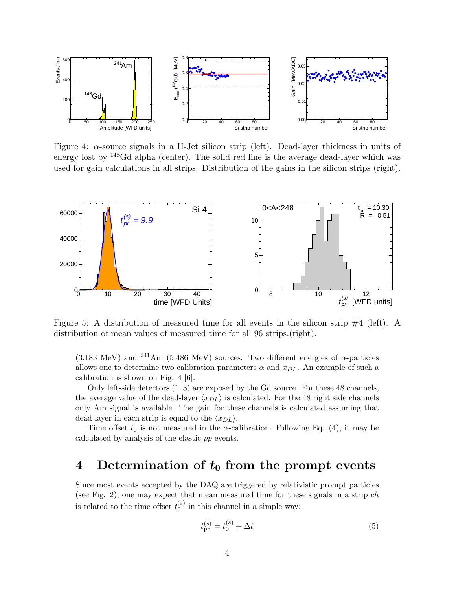

Figure 4:  $\alpha$ -source signals in a H-Jet silicon strip (left). Dead-layer thickness in units of energy lost by <sup>148</sup>Gd alpha (center). The solid red line is the average dead-layer which was used for gain calculations in all strips. Distribution of the gains in the silicon strips (right).



Figure 5: A distribution of measured time for all events in the silicon strip #4 (left). A distribution of mean values of measured time for all 96 strips.(right).

(3.183 MeV) and <sup>241</sup>Am (5.486 MeV) sources. Two different energies of  $\alpha$ -particles allows one to determine two calibration parameters  $\alpha$  and  $x_{DL}$ . An example of such a calibration is shown on Fig. 4 [6].

Only left-side detectors (1–3) are exposed by the Gd source. For these 48 channels, the average value of the dead-layer  $\langle x_{DL} \rangle$  is calculated. For the 48 right side channels only Am signal is available. The gain for these channels is calculated assuming that dead-layer in each strip is equal to the  $\langle x_{DL} \rangle$ .

Time offset  $t_0$  is not measured in the  $\alpha$ -calibration. Following Eq. (4), it may be calculated by analysis of the elastic pp events.

## 4 Determination of  $t_0$  from the prompt events

Since most events accepted by the DAQ are triggered by relativistic prompt particles (see Fig. 2), one may expect that mean measured time for these signals in a strip  $ch$ is related to the time offset  $t_0^{(s)}$  $\binom{8}{0}$  in this channel in a simple way:

$$
t_{\rm pr}^{(s)} = t_0^{(s)} + \Delta t \tag{5}
$$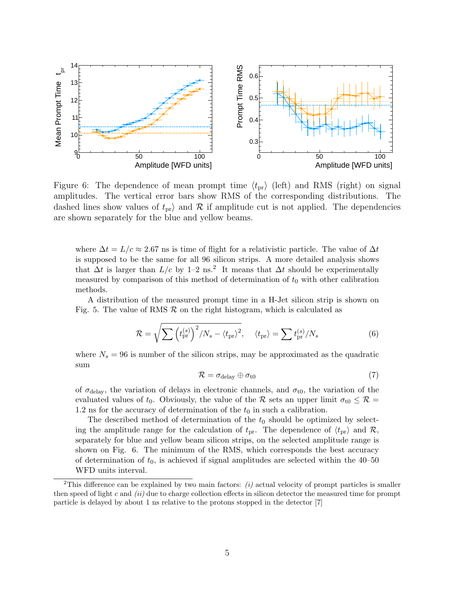

Figure 6: The dependence of mean prompt time  $\langle t_{\rm pr} \rangle$  (left) and RMS (right) on signal amplitudes. The vertical error bars show RMS of the corresponding distributions. The dashed lines show values of  $t_{pr}$  and  $\mathcal R$  if amplitude cut is not applied. The dependencies are shown separately for the blue and yellow beams.

where  $\Delta t = L/c \approx 2.67$  ns is time of flight for a relativistic particle. The value of  $\Delta t$ is supposed to be the same for all 96 silicon strips. A more detailed analysis shows that  $\Delta t$  is larger than  $L/c$  by 1–2 ns.<sup>2</sup> It means that  $\Delta t$  should be experimentally measured by comparison of this method of determination of  $t_0$  with other calibration methods.

A distribution of the measured prompt time in a H-Jet silicon strip is shown on Fig. 5. The value of RMS  $\mathcal R$  on the right histogram, which is calculated as

$$
\mathcal{R} = \sqrt{\sum_{s} (t_{\text{pr}}^{(s)})^2 / N_s - \langle t_{\text{pr}} \rangle^2}, \quad \langle t_{\text{pr}} \rangle = \sum_{s} t_{\text{pr}}^{(s)} / N_s \tag{6}
$$

where  $N_s = 96$  is number of the silicon strips, may be approximated as the quadratic sum

$$
\mathcal{R} = \sigma_{\text{delay}} \oplus \sigma_{\text{t0}} \tag{7}
$$

of  $\sigma_{\text{delay}}$ , the variation of delays in electronic channels, and  $\sigma_{\text{t0}}$ , the variation of the evaluated values of  $t_0$ . Obviously, the value of the R sets an upper limit  $\sigma_{t0} \leq \mathcal{R} =$ 1.2 ns for the accuracy of determination of the  $t_0$  in such a calibration.

The described method of determination of the  $t_0$  should be optimized by selecting the amplitude range for the calculation of  $t_{pr}$ . The dependence of  $\langle t_{pr} \rangle$  and R, separately for blue and yellow beam silicon strips, on the selected amplitude range is shown on Fig. 6. The minimum of the RMS, which corresponds the best accuracy of determination of  $t_0$ , is achieved if signal amplitudes are selected within the 40–50 WFD units interval.

<sup>&</sup>lt;sup>2</sup>This difference can be explained by two main factors:  $(i)$  actual velocity of prompt particles is smaller then speed of light c and  $(ii)$  due to charge collection effects in silicon detector the measured time for prompt particle is delayed by about 1 ns relative to the protons stopped in the detector [7]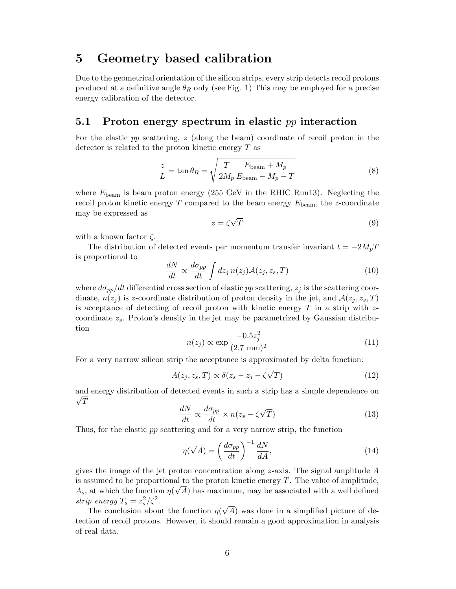#### 5 Geometry based calibration

Due to the geometrical orientation of the silicon strips, every strip detects recoil protons produced at a definitive angle  $\theta_R$  only (see Fig. 1) This may be employed for a precise energy calibration of the detector.

#### 5.1 Proton energy spectrum in elastic  $pp$  interaction

For the elastic pp scattering, z (along the beam) coordinate of recoil proton in the detector is related to the proton kinetic energy T as

$$
\frac{z}{L} = \tan \theta_R = \sqrt{\frac{T}{2M_p} \frac{E_{\text{beam}} + M_p}{E_{\text{beam}} - M_p - T}}
$$
(8)

where  $E_{\text{beam}}$  is beam proton energy (255 GeV in the RHIC Run13). Neglecting the recoil proton kinetic energy T compared to the beam energy  $E_{\text{beam}}$ , the z-coordinate may be expressed as √

$$
z = \zeta \sqrt{T} \tag{9}
$$

with a known factor  $\zeta$ .

The distribution of detected events per momentum transfer invariant  $t = -2M_pT$ is proportional to

$$
\frac{dN}{dt} \propto \frac{d\sigma_{pp}}{dt} \int dz_j \, n(z_j) \mathcal{A}(z_j, z_s, T) \tag{10}
$$

where  $d\sigma_{pp}/dt$  differential cross section of elastic pp scattering,  $z_j$  is the scattering coordinate,  $n(z_j)$  is z-coordinate distribution of proton density in the jet, and  $\mathcal{A}(z_j, z_s, T)$ is acceptance of detecting of recoil proton with kinetic energy  $T$  in a strip with  $z$ coordinate  $z_s$ . Proton's density in the jet may be parametrized by Gaussian distribution

$$
n(z_j) \propto \exp\frac{-0.5z_j^2}{(2.7 \text{ mm})^2} \tag{11}
$$

For a very narrow silicon strip the acceptance is approximated by delta function:

$$
A(z_j, z_s, T) \propto \delta(z_s - z_j - \zeta \sqrt{T})
$$
\n(12)

and energy distribution of detected events in such a strip has a simple dependence on  $\sqrt{T}$ 

$$
\frac{dN}{dt} \propto \frac{d\sigma_{pp}}{dt} \times n(z_s - \zeta \sqrt{T})
$$
\n(13)

Thus, for the elastic pp scattering and for a very narrow strip, the function

$$
\eta(\sqrt{A}) = \left(\frac{d\sigma_{pp}}{dt}\right)^{-1} \frac{dN}{dA},\tag{14}
$$

gives the image of the jet proton concentration along z-axis. The signal amplitude  $A$ is assumed to be proportional to the proton kinetic energy  $T$ . The value of amplitude,  $A_s$ , at which the function  $\eta(\sqrt{A})$  has maximum, may be associated with a well defined strip energy  $T_s = z_s^2/\zeta^2$ . √

The conclusion about the function  $\eta$ A) was done in a simplified picture of detection of recoil protons. However, it should remain a good approximation in analysis of real data.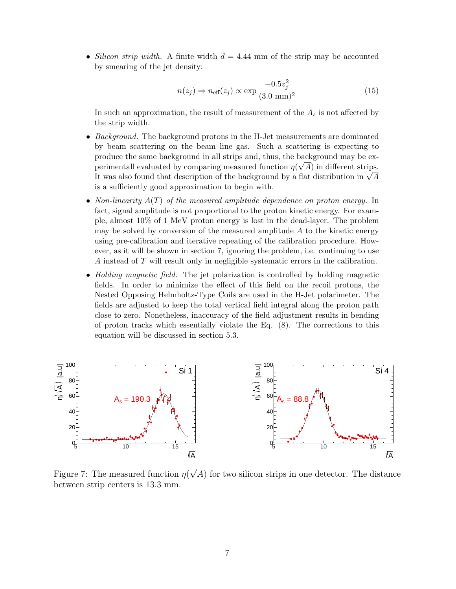*Silicon strip width.* A finite width  $d = 4.44$  mm of the strip may be accounted by smearing of the jet density:

$$
n(z_j) \Rightarrow n_{\text{eff}}(z_j) \propto \exp\frac{-0.5z_j^2}{(3.0 \text{ mm})^2} \tag{15}
$$

In such an approximation, the result of measurement of the  $A_s$  is not affected by the strip width.

- *Background.* The background protons in the H-Jet measurements are dominated by beam scattering on the beam line gas. Such a scattering is expecting to produce the same background in all strips and, thus, the background may be experimentall evaluated by comparing measured function  $\eta(\sqrt{A})$  in different strips. perimental evaluated by comparing measured function  $\eta(\sqrt{A})$  in different strips.<br>It was also found that description of the background by a flat distribution in  $\sqrt{A}$ is a sufficiently good approximation to begin with.
- Non-linearity  $A(T)$  of the measured amplitude dependence on proton energy. In fact, signal amplitude is not proportional to the proton kinetic energy. For example, almost 10% of 1 MeV proton energy is lost in the dead-layer. The problem may be solved by conversion of the measured amplitude  $A$  to the kinetic energy using pre-calibration and iterative repeating of the calibration procedure. However, as it will be shown in section 7, ignoring the problem, i.e. continuing to use A instead of T will result only in negligible systematic errors in the calibration.
- *Holding magnetic field*. The jet polarization is controlled by holding magnetic fields. In order to minimize the effect of this field on the recoil protons, the Nested Opposing Helmholtz-Type Coils are used in the H-Jet polarimeter. The fields are adjusted to keep the total vertical field integral along the proton path close to zero. Nonetheless, inaccuracy of the field adjustment results in bending of proton tracks which essentially violate the Eq. (8). The corrections to this equation will be discussed in section 5.3.



Figure 7: The measured function  $\eta$ A) for two silicon strips in one detector. The distance between strip centers is 13.3 mm.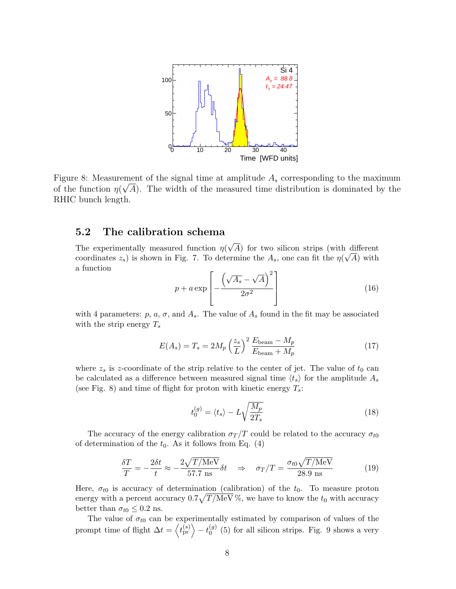

Figure 8: Measurement of the signal time at amplitude  $A_s$  corresponding to the maximum of the function  $\eta(\sqrt{A})$ . The width of the measured time distribution is dominated by the RHIC bunch length.

#### 5.2 The calibration schema

The experimentally measured function  $\eta$ √ A) for two silicon strips (with different coordinates  $z_s$ ) is shown in Fig. 7. To determine the  $A_s$ , one can fit the  $\eta(\sqrt{A})$  with a function

$$
p + a \exp\left[-\frac{\left(\sqrt{A_s} - \sqrt{A}\right)^2}{2\sigma^2}\right] \tag{16}
$$

with 4 parameters:  $p, a, \sigma,$  and  $A_s$ . The value of  $A_s$  found in the fit may be associated with the strip energy  $T_s$ 

$$
E(A_s) = T_s = 2M_p \left(\frac{z_s}{L}\right)^2 \frac{E_{\text{beam}} - M_p}{E_{\text{beam} + M_p}}
$$
(17)

where  $z_s$  is z-coordinate of the strip relative to the center of jet. The value of  $t_0$  can be calculated as a difference between measured signal time  $\langle t_s \rangle$  for the amplitude  $A_s$ (see Fig. 8) and time of flight for proton with kinetic energy  $T_s$ :

$$
t_0^{(g)} = \langle t_s \rangle - L \sqrt{\frac{M_p}{2T_s}}
$$
\n(18)

The accuracy of the energy calibration  $\sigma_T/T$  could be related to the accuracy  $\sigma_{t0}$ of determination of the  $t_0$ . As it follows from Eq. (4)

$$
\frac{\delta T}{T} = -\frac{2\delta t}{t} \approx -\frac{2\sqrt{T/\text{MeV}}}{57.7 \text{ ns}} \delta t \quad \Rightarrow \quad \sigma_T/T = \frac{\sigma_{t0}\sqrt{T/\text{MeV}}}{28.9 \text{ ns}} \tag{19}
$$

Here,  $\sigma_{t0}$  is accuracy of determination (calibration) of the  $t_0$ . To measure proton energy with a percent accuracy  $0.7\sqrt{T/\text{MeV}}$ %, we have to know the  $t_0$  with accuracy better than  $\sigma_{t0} \leq 0.2$  ns.

The value of  $\sigma_{t0}$  can be experimentally estimated by comparison of values of the prompt time of flight  $\Delta t = \langle t_{\text{pr}}^{(s)} \rangle - t_0^{(g)}$  $\binom{9}{0}$  (5) for all silicon strips. Fig. 9 shows a very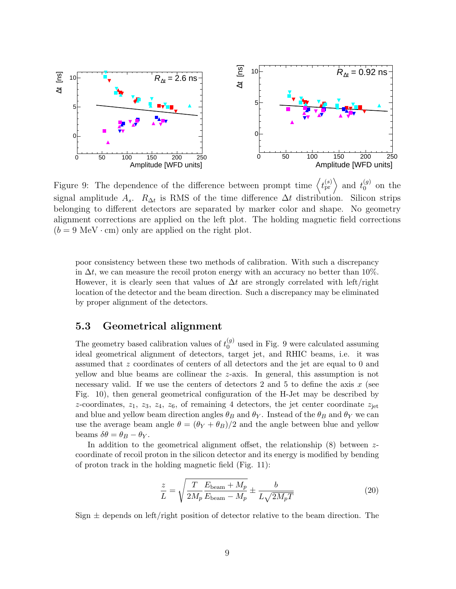

Figure 9: The dependence of the difference between prompt time  $\langle t_{\rm pr}^{(s)} \rangle$  and  $t_0^{(g)}$  $_0^{(g)}$  on the signal amplitude  $A_s$ .  $R_{\Delta t}$  is RMS of the time difference  $\Delta t$  distribution. Silicon strips belonging to different detectors are separated by marker color and shape. No geometry alignment corrections are applied on the left plot. The holding magnetic field corrections  $(b = 9 \text{ MeV} \cdot \text{cm})$  only are applied on the right plot.

poor consistency between these two methods of calibration. With such a discrepancy in  $\Delta t$ , we can measure the recoil proton energy with an accuracy no better than 10%. However, it is clearly seen that values of  $\Delta t$  are strongly correlated with left/right location of the detector and the beam direction. Such a discrepancy may be eliminated by proper alignment of the detectors.

#### 5.3 Geometrical alignment

The geometry based calibration values of  $t_0^{(g)}$  $_{0}^{(g)}$  used in Fig. 9 were calculated assuming ideal geometrical alignment of detectors, target jet, and RHIC beams, i.e. it was assumed that z coordinates of centers of all detectors and the jet are equal to 0 and yellow and blue beams are collinear the z-axis. In general, this assumption is not necessary valid. If we use the centers of detectors 2 and 5 to define the axis  $x$  (see Fig. 10), then general geometrical configuration of the H-Jet may be described by z-coordinates,  $z_1$ ,  $z_3$ ,  $z_4$ ,  $z_6$ , of remaining 4 detectors, the jet center coordinate  $z_{jet}$ and blue and yellow beam direction angles  $\theta_B$  and  $\theta_Y$ . Instead of the  $\theta_B$  and  $\theta_Y$  we can use the average beam angle  $\theta = (\theta_Y + \theta_B)/2$  and the angle between blue and yellow beams  $\delta\theta = \theta_B - \theta_Y$ .

In addition to the geometrical alignment offset, the relationship  $(8)$  between zcoordinate of recoil proton in the silicon detector and its energy is modified by bending of proton track in the holding magnetic field (Fig. 11):

$$
\frac{z}{L} = \sqrt{\frac{T}{2M_p} \frac{E_{\text{beam}} + M_p}{E_{\text{beam}} - M_p}} \pm \frac{b}{L\sqrt{2M_pT}}
$$
(20)

Sign  $\pm$  depends on left/right position of detector relative to the beam direction. The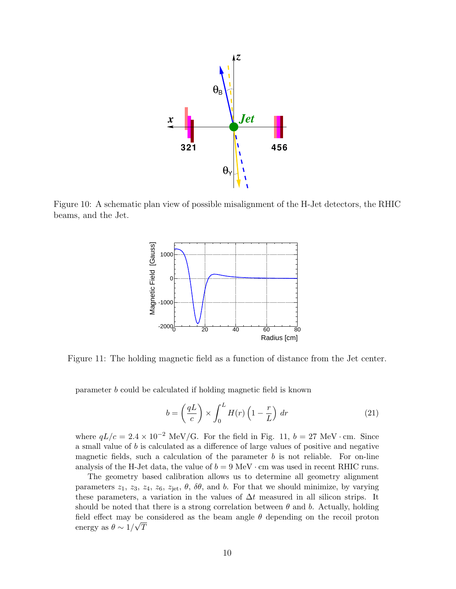

Figure 10: A schematic plan view of possible misalignment of the H-Jet detectors, the RHIC beams, and the Jet.



Figure 11: The holding magnetic field as a function of distance from the Jet center.

parameter b could be calculated if holding magnetic field is known

$$
b = \left(\frac{qL}{c}\right) \times \int_0^L H(r) \left(1 - \frac{r}{L}\right) dr \tag{21}
$$

where  $qL/c = 2.4 \times 10^{-2}$  MeV/G. For the field in Fig. 11,  $b = 27$  MeV · cm. Since a small value of b is calculated as a difference of large values of positive and negative magnetic fields, such a calculation of the parameter  $b$  is not reliable. For on-line analysis of the H-Jet data, the value of  $b = 9 \text{ MeV} \cdot \text{cm}$  was used in recent RHIC runs.

The geometry based calibration allows us to determine all geometry alignment parameters  $z_1$ ,  $z_3$ ,  $z_4$ ,  $z_6$ ,  $z_{\text{jet}}$ ,  $\theta$ ,  $\delta\theta$ , and b. For that we should minimize, by varying these parameters, a variation in the values of  $\Delta t$  measured in all silicon strips. It should be noted that there is a strong correlation between  $\theta$  and b. Actually, holding field effect may be considered as the beam angle  $\theta$  depending on the recoil proton energy as  $\theta \sim 1/\sqrt{T}$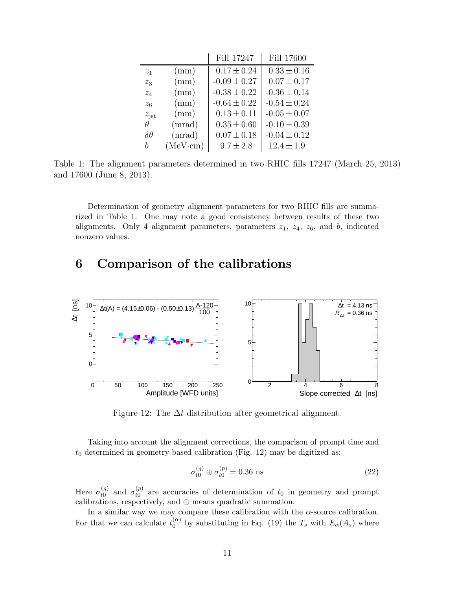|                 |         | Fill 17247       | Fill 17600       |
|-----------------|---------|------------------|------------------|
| $z_1$           | (mm)    | $0.17 \pm 0.24$  | $0.33 \pm 0.16$  |
| $z_3$           | (mm)    | $-0.09 \pm 0.27$ | $0.07 \pm 0.17$  |
| $z_4$           | (mm)    | $-0.38 \pm 0.22$ | $-0.36 \pm 0.14$ |
| $z_6$           | (mm)    | $-0.64 \pm 0.22$ | $-0.54 \pm 0.24$ |
| $z_{\rm jet}$   | (mm)    | $0.13 \pm 0.11$  | $-0.05 \pm 0.07$ |
| $\theta$        | (mrad)  | $0.35 \pm 0.60$  | $-0.10 \pm 0.39$ |
| $\delta \theta$ | (mrad)  | $0.07 \pm 0.18$  | $-0.04 \pm 0.12$ |
| h               | (MeVcm) | $9.7 \pm 2.8$    | $12.4 \pm 1.9$   |

Table 1: The alignment parameters determined in two RHIC fills 17247 (March 25, 2013) and 17600 (June 8, 2013).

Determination of geometry alignment parameters for two RHIC fills are summarized in Table 1. One may note a good consistency between results of these two alignments. Only 4 alignment parameters, parameters  $z_1$ ,  $z_4$ ,  $z_6$ , and b, indicated nonzero values.

# 6 Comparison of the calibrations



Figure 12: The  $\Delta t$  distribution after geometrical alignment.

Taking into account the alignment corrections, the comparison of prompt time and  $t_0$  determined in geometry based calibration (Fig. 12) may be digitized as:

$$
\sigma_{t0}^{(g)} \oplus \sigma_{t0}^{(p)} = 0.36 \text{ ns} \tag{22}
$$

Here  $\sigma_{t0}^{(g)}$  $t_0^{(g)}$  and  $\sigma_{t0}^{(p)}$  $t_0^{(p)}$  are accuracies of determination of  $t_0$  in geometry and prompt calibrations, respectively, and  $oplus$  means quadratic summation.

In a similar way we may compare these calibration with the  $\alpha$ -source calibration. For that we can calculate  $t_0^{(\alpha)}$  $\int_0^{(\alpha)}$  by substituting in Eq. (19) the  $T_s$  with  $E_{\alpha}(A_s)$  where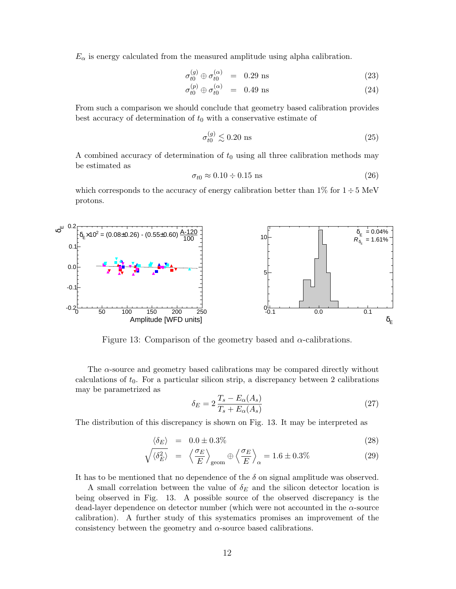$E_{\alpha}$  is energy calculated from the measured amplitude using alpha calibration.

$$
\sigma_{t0}^{(g)} \oplus \sigma_{t0}^{(\alpha)} = 0.29 \text{ ns} \tag{23}
$$

$$
\sigma_{t0}^{(p)} \oplus \sigma_{t0}^{(\alpha)} = 0.49 \text{ ns} \tag{24}
$$

From such a comparison we should conclude that geometry based calibration provides best accuracy of determination of  $t_0$  with a conservative estimate of

$$
\sigma_{t0}^{(g)} \lesssim 0.20 \text{ ns} \tag{25}
$$

A combined accuracy of determination of  $t_0$  using all three calibration methods may be estimated as

$$
\sigma_{t0} \approx 0.10 \div 0.15 \text{ ns} \tag{26}
$$

which corresponds to the accuracy of energy calibration better than  $1\%$  for  $1 \div 5$  MeV protons.



Figure 13: Comparison of the geometry based and  $\alpha$ -calibrations.

The  $\alpha$ -source and geometry based calibrations may be compared directly without calculations of  $t_0$ . For a particular silicon strip, a discrepancy between 2 calibrations may be parametrized as

$$
\delta_E = 2 \frac{T_s - E_\alpha(A_s)}{T_s + E_\alpha(A_s)}\tag{27}
$$

The distribution of this discrepancy is shown on Fig. 13. It may be interpreted as

$$
\langle \delta_E \rangle = 0.0 \pm 0.3\% \tag{28}
$$

$$
\sqrt{\langle \delta_E^2 \rangle} = \left\langle \frac{\sigma_E}{E} \right\rangle_{\text{geom}} \oplus \left\langle \frac{\sigma_E}{E} \right\rangle_{\alpha} = 1.6 \pm 0.3\% \tag{29}
$$

It has to be mentioned that no dependence of the  $\delta$  on signal amplitude was observed.

A small correlation between the value of  $\delta_E$  and the silicon detector location is being observed in Fig. 13. A possible source of the observed discrepancy is the dead-layer dependence on detector number (which were not accounted in the  $\alpha$ -source calibration). A further study of this systematics promises an improvement of the consistency between the geometry and  $\alpha$ -source based calibrations.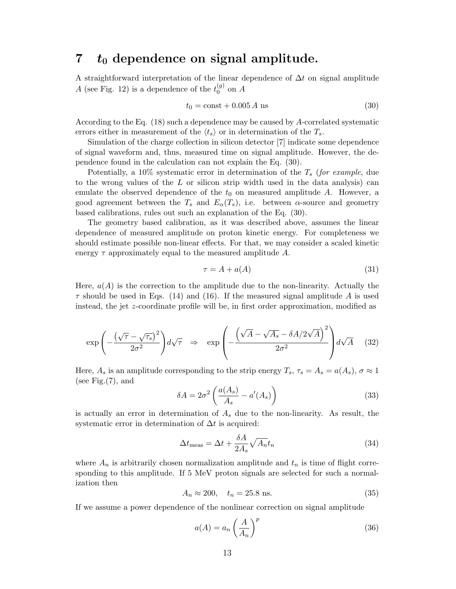### 7  $t_0$  dependence on signal amplitude.

A straightforward interpretation of the linear dependence of  $\Delta t$  on signal amplitude A (see Fig. 12) is a dependence of the  $t_0^{(g)}$  $_0^{(g)}$  on A

$$
t_0 = \text{const} + 0.005 A \text{ ns} \tag{30}
$$

According to the Eq. (18) such a dependence may be caused by A-correlated systematic errors either in measurement of the  $\langle t_s \rangle$  or in determination of the  $T_s$ .

Simulation of the charge collection in silicon detector [7] indicate some dependence of signal waveform and, thus, measured time on signal amplitude. However, the dependence found in the calculation can not explain the Eq. (30).

Potentially, a 10% systematic error in determination of the  $T_s$  (for example, due to the wrong values of the L or silicon strip width used in the data analysis) can emulate the observed dependence of the  $t_0$  on measured amplitude A. However, a good agreement between the  $T_s$  and  $E_\alpha(T_s)$ , i.e. between  $\alpha$ -source and geometry based calibrations, rules out such an explanation of the Eq. (30).

The geometry based calibration, as it was described above, assumes the linear dependence of measured amplitude on proton kinetic energy. For completeness we should estimate possible non-linear effects. For that, we may consider a scaled kinetic energy  $\tau$  approximately equal to the measured amplitude A.

$$
\tau = A + a(A) \tag{31}
$$

Here,  $a(A)$  is the correction to the amplitude due to the non-linearity. Actually the  $\tau$  should be used in Eqs. (14) and (16). If the measured signal amplitude A is used instead, the jet z-coordinate profile will be, in first order approximation, modified as

$$
\exp\left(-\frac{(\sqrt{\tau}-\sqrt{\tau_s})^2}{2\sigma^2}\right)d\sqrt{\tau} \quad \Rightarrow \quad \exp\left(-\frac{\left(\sqrt{A}-\sqrt{A_s}-\delta A/2\sqrt{A}\right)^2}{2\sigma^2}\right)d\sqrt{A} \tag{32}
$$

Here,  $A_s$  is an amplitude corresponding to the strip energy  $T_s$ ,  $\tau_s = A_s = a(A_s)$ ,  $\sigma \approx 1$ (see Fig. $(7)$ , and

$$
\delta A = 2\sigma^2 \left( \frac{a(A_s)}{A_s} - a'(A_s) \right) \tag{33}
$$

is actually an error in determination of  $A_s$  due to the non-linearity. As result, the systematic error in determination of  $\Delta t$  is acquired:

$$
\Delta t_{\text{meas}} = \Delta t + \frac{\delta A}{2A_s} \sqrt{A_n} t_n \tag{34}
$$

where  $A_n$  is arbitrarily chosen normalization amplitude and  $t_n$  is time of flight corresponding to this amplitude. If 5 MeV proton signals are selected for such a normalization then

$$
A_n \approx 200, \quad t_n = 25.8 \text{ ns.} \tag{35}
$$

If we assume a power dependence of the nonlinear correction on signal amplitude

$$
a(A) = a_n \left(\frac{A}{A_n}\right)^p \tag{36}
$$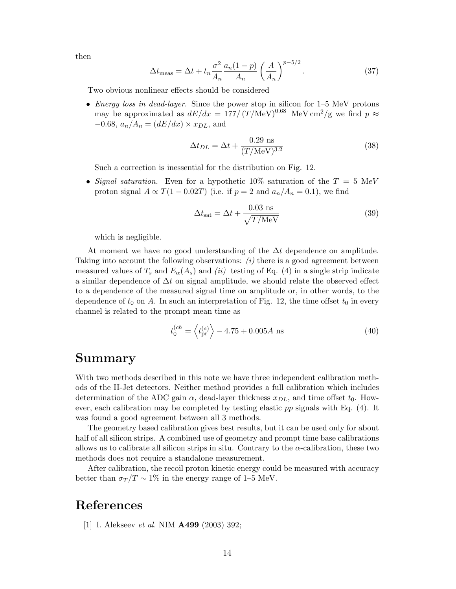then

$$
\Delta t_{\text{meas}} = \Delta t + t_n \frac{\sigma^2}{A_n} \frac{a_n (1 - p)}{A_n} \left(\frac{A}{A_n}\right)^{p - 5/2}.
$$
\n(37)

Two obvious nonlinear effects should be considered

• Energy loss in dead-layer. Since the power stop in silicon for 1–5 MeV protons may be approximated as  $dE/dx = 177/(T/\text{MeV})^{0.68}$  MeV cm<sup>2</sup>/g we find  $p \approx$  $-0.68$ ,  $a_n/A_n = (dE/dx) \times x_{DL}$ , and

$$
\Delta t_{DL} = \Delta t + \frac{0.29 \text{ ns}}{(T/\text{MeV})^{3.2}}\tag{38}
$$

Such a correction is inessential for the distribution on Fig. 12.

• Signal saturation. Even for a hypothetic 10% saturation of the  $T = 5$  MeV proton signal  $A \propto T(1 - 0.02T)$  (i.e. if  $p = 2$  and  $a_n/A_n = 0.1$ ), we find

$$
\Delta t_{\rm sat} = \Delta t + \frac{0.03 \text{ ns}}{\sqrt{T/\text{MeV}}} \tag{39}
$$

which is negligible.

At moment we have no good understanding of the  $\Delta t$  dependence on amplitude. Taking into account the following observations:  $(i)$  there is a good agreement between measured values of  $T_s$  and  $E_\alpha(A_s)$  and *(ii)* testing of Eq. (4) in a single strip indicate a similar dependence of  $\Delta t$  on signal amplitude, we should relate the observed effect to a dependence of the measured signal time on amplitude or, in other words, to the dependence of  $t_0$  on A. In such an interpretation of Fig. 12, the time offset  $t_0$  in every channel is related to the prompt mean time as

$$
t_0^{(ch)} = \left\langle t_{\rm pr}^{(s)} \right\rangle - 4.75 + 0.005A \text{ ns} \tag{40}
$$

#### Summary

With two methods described in this note we have three independent calibration methods of the H-Jet detectors. Neither method provides a full calibration which includes determination of the ADC gain  $\alpha$ , dead-layer thickness  $x_{DL}$ , and time offset  $t_0$ . However, each calibration may be completed by testing elastic  $pp$  signals with Eq. (4). It was found a good agreement between all 3 methods.

The geometry based calibration gives best results, but it can be used only for about half of all silicon strips. A combined use of geometry and prompt time base calibrations allows us to calibrate all silicon strips in situ. Contrary to the  $\alpha$ -calibration, these two methods does not require a standalone measurement.

After calibration, the recoil proton kinetic energy could be measured with accuracy better than  $\sigma_T/T \sim 1\%$  in the energy range of 1–5 MeV.

### References

[1] I. Alekseev et al. NIM A499 (2003) 392;